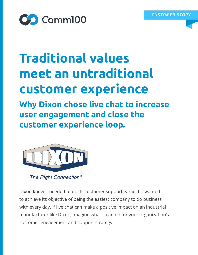

# **Traditional values meet an untraditional customer experience**

**Why Dixon chose live chat to increase user engagement and close the customer experience loop.**



The Right Connection®

Dixon knew it needed to up its customer support game if it wanted to achieve its objective of being the easiest company to do business with every day. If live chat can make a positive impact on an industrial manufacturer like Dixon, imagine what it can do for your organization's customer engagement and support strategy.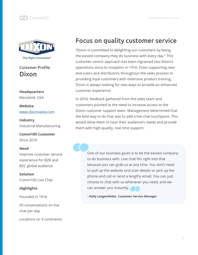



#### Customer Profile Dixon

**Headquarters**  Maryland, USA

**Website**  [www.dixonvalve.com](http://www.dixonvalve.com
)

**Industry**  Industrial Manufacturing

**Comm100 Customer**  Since 2016

#### **Need**

Improve customer service experience for B2B and B2C global audience

**Solution**  Comm100 Live Chat

**Highlights**

Founded in 1916

50 conversations on live chat per day

Locations on 5 continents

### Focus on quality customer service

"Dixon is committed to delighting our customers by being the easiest company they do business with every day." This customer-centric approach has been ingrained into Dixon's operations since its inception in 1916. From supporting new end-users and distributors throughout the sales process to providing loyal customers with extensive product training, Dixon is always looking for new ways to provide an enhanced customer experience.

In 2016, feedback gathered from the sales team and customers pointed to the need to increase access to the Dixon customer support team. Management determined that the best way to do that was to add a live chat touchpoint. This would allow them to hear their audience's needs and provide them with high-quality, real time support.

> One of our business goals is to be the easiest company to do business with. Live chat fits right into that because you can grab us at any time. You don't need to pull up the website and scan details or pick up the phone and call or send a lengthy email. You can just choose to chat with us whenever you need, and we can answer you instantly.

**- Holly Langenfelder, Customer Service Manager**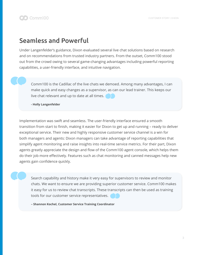#### Seamless and Powerful

Under Langenfelder's guidance, Dixon evaluated several live chat solutions based on research and on recommendations from trusted industry partners. From the outset, Comm100 stood out from the crowd owing to several game-changing advantages including powerful reporting capabilities, a user-friendly interface, and intuitive navigation.

Comm100 is the Cadillac of the live chats we demoed. Among many advantages, I can make quick and easy changes as a supervisor, as can our lead trainer. This keeps our live chat relevant and up to date at all times.

**- Holly Langenfelder**

Implementation was swift and seamless. The user-friendly interface ensured a smooth transition from start to finish, making it easier for Dixon to get up and running – ready to deliver exceptional service. Their new and highly responsive customer service channel is a win for both managers and agents: Dixon managers can take advantage of reporting capabilities that simplify agent monitoring and raise insights into real-time service metrics. For their part, Dixon agents greatly appreciate the design and flow of the Comm100 agent console, which helps them do their job more effectively. Features such as chat monitoring and canned messages help new agents gain confidence quickly.

Search capability and history make it very easy for supervisors to review and monitor chats. We want to ensure we are providing superior customer service. Comm100 makes it easy for us to review chat transcripts. These transcripts can then be used as training tools for our customer service representatives.

**– Shannon Kochel, Customer Service Training Coordinator**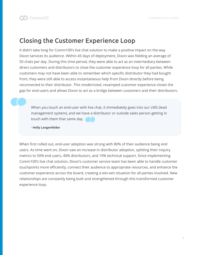#### Closing the Customer Experience Loop

It didn't take long for Comm100's live chat solution to make a positive impact on the way Dixon services its audience. Within 45 days of deployment, Dixon was fielding an average of 50 chats per day. During this time period, they were able to act as an intermediary between direct customers and distributors to close the customer experience loop for all parties. While customers may not have been able to remember which specific distributor they had bought from, they were still able to access instantaneous help from Dixon directly before being reconnected to their distributor. This modernized, revamped customer experience closes the gap for end-users and allows Dixon to act as a bridge between customers and their distributors.

When you touch an end-user with live chat, it immediately goes into our LMS (lead management system), and we have a distributor or outside sales person getting in touch with them that same day.

**- Holly Langenfelder**

When first rolled out, end-user adoption was strong with 80% of their audience being end users. As time went on, Dixon saw an increase in distributor adoption, splitting their inquiry metrics to 50% end users, 40% distributors, and 10% technical support. Since implementing Comm100's live chat solution, Dixon's customer service team has been able to handle customer touchpoints more efficiently, connect their audience to appropriate resources, and enhance the customer experience across the board, creating a win-win situation for all parties involved. New relationships are constantly being built and strengthened through this transformed customer experience loop.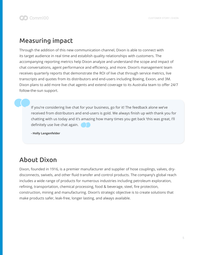### Measuring impact

Through the addition of this new communication channel, Dixon is able to connect with its target audience in real time and establish quality relationships with customers. The accompanying reporting metrics help Dixon analyze and understand the scope and impact of chat conversations, agent performance and efficiency, and more. Dixon's management team receives quarterly reports that demonstrate the ROI of live chat through service metrics, live transcripts and quotes from its distributors and end-users including Boeing, Exxon, and 3M. Dixon plans to add more live chat agents and extend coverage to its Australia team to offer 24/7 follow-the-sun support.

If you're considering live chat for your business, go for it! The feedback alone we've received from distributors and end-users is gold. We always finish up with thank you for chatting with us today and it's amazing how many times you get back 'this was great, I'll definitely use live chat again.

**- Holly Langenfelder**

## About Dixon

Dixon, founded in 1916, is a premier manufacturer and supplier of hose couplings, valves, drydisconnects, swivels, and other fluid transfer and control products. The company's global reach includes a wide range of products for numerous industries including petroleum exploration, refining, transportation, chemical processing, food & beverage, steel, fire protection, construction, mining and manufacturing. Dixon's strategic objective is to create solutions that make products safer, leak-free, longer lasting, and always available.